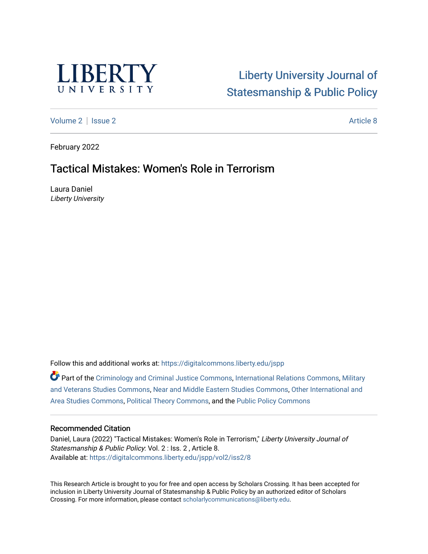

# [Liberty University Journal of](https://digitalcommons.liberty.edu/jspp)  [Statesmanship & Public Policy](https://digitalcommons.liberty.edu/jspp)

[Volume 2](https://digitalcommons.liberty.edu/jspp/vol2) | [Issue 2](https://digitalcommons.liberty.edu/jspp/vol2/iss2) Article 8

February 2022

# Tactical Mistakes: Women's Role in Terrorism

Laura Daniel Liberty University

Follow this and additional works at: [https://digitalcommons.liberty.edu/jspp](https://digitalcommons.liberty.edu/jspp?utm_source=digitalcommons.liberty.edu%2Fjspp%2Fvol2%2Fiss2%2F8&utm_medium=PDF&utm_campaign=PDFCoverPages) 

**C** Part of the [Criminology and Criminal Justice Commons](http://network.bepress.com/hgg/discipline/367?utm_source=digitalcommons.liberty.edu%2Fjspp%2Fvol2%2Fiss2%2F8&utm_medium=PDF&utm_campaign=PDFCoverPages), [International Relations Commons](http://network.bepress.com/hgg/discipline/389?utm_source=digitalcommons.liberty.edu%2Fjspp%2Fvol2%2Fiss2%2F8&utm_medium=PDF&utm_campaign=PDFCoverPages), Military [and Veterans Studies Commons,](http://network.bepress.com/hgg/discipline/396?utm_source=digitalcommons.liberty.edu%2Fjspp%2Fvol2%2Fiss2%2F8&utm_medium=PDF&utm_campaign=PDFCoverPages) [Near and Middle Eastern Studies Commons,](http://network.bepress.com/hgg/discipline/1308?utm_source=digitalcommons.liberty.edu%2Fjspp%2Fvol2%2Fiss2%2F8&utm_medium=PDF&utm_campaign=PDFCoverPages) [Other International and](http://network.bepress.com/hgg/discipline/365?utm_source=digitalcommons.liberty.edu%2Fjspp%2Fvol2%2Fiss2%2F8&utm_medium=PDF&utm_campaign=PDFCoverPages)  [Area Studies Commons,](http://network.bepress.com/hgg/discipline/365?utm_source=digitalcommons.liberty.edu%2Fjspp%2Fvol2%2Fiss2%2F8&utm_medium=PDF&utm_campaign=PDFCoverPages) [Political Theory Commons,](http://network.bepress.com/hgg/discipline/391?utm_source=digitalcommons.liberty.edu%2Fjspp%2Fvol2%2Fiss2%2F8&utm_medium=PDF&utm_campaign=PDFCoverPages) and the [Public Policy Commons](http://network.bepress.com/hgg/discipline/400?utm_source=digitalcommons.liberty.edu%2Fjspp%2Fvol2%2Fiss2%2F8&utm_medium=PDF&utm_campaign=PDFCoverPages) 

# Recommended Citation

Daniel, Laura (2022) "Tactical Mistakes: Women's Role in Terrorism," Liberty University Journal of Statesmanship & Public Policy: Vol. 2 : Iss. 2 , Article 8. Available at: [https://digitalcommons.liberty.edu/jspp/vol2/iss2/8](https://digitalcommons.liberty.edu/jspp/vol2/iss2/8?utm_source=digitalcommons.liberty.edu%2Fjspp%2Fvol2%2Fiss2%2F8&utm_medium=PDF&utm_campaign=PDFCoverPages) 

This Research Article is brought to you for free and open access by Scholars Crossing. It has been accepted for inclusion in Liberty University Journal of Statesmanship & Public Policy by an authorized editor of Scholars Crossing. For more information, please contact [scholarlycommunications@liberty.edu](mailto:scholarlycommunications@liberty.edu).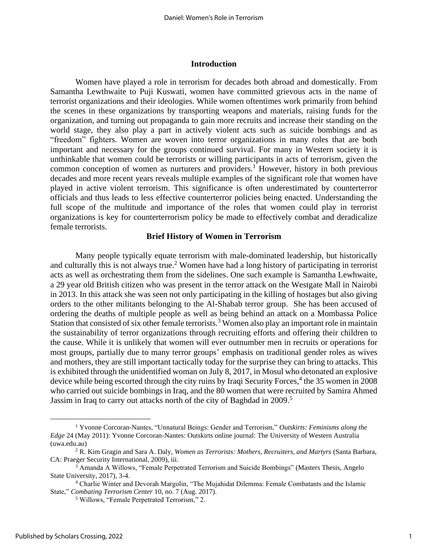#### **Introduction**

Women have played a role in terrorism for decades both abroad and domestically. From Samantha Lewthwaite to Puji Kuswati, women have committed grievous acts in the name of terrorist organizations and their ideologies. While women oftentimes work primarily from behind the scenes in these organizations by transporting weapons and materials, raising funds for the organization, and turning out propaganda to gain more recruits and increase their standing on the world stage, they also play a part in actively violent acts such as suicide bombings and as "freedom" fighters. Women are woven into terror organizations in many roles that are both important and necessary for the groups continued survival. For many in Western society it is unthinkable that women could be terrorists or willing participants in acts of terrorism, given the common conception of women as nurturers and providers. <sup>1</sup> However, history in both previous decades and more recent years reveals multiple examples of the significant role that women have played in active violent terrorism. This significance is often underestimated by counterterror officials and thus leads to less effective counterterror policies being enacted. Understanding the full scope of the multitude and importance of the roles that women could play in terrorist organizations is key for counterterrorism policy be made to effectively combat and deradicalize female terrorists.

# **Brief History of Women in Terrorism**

Many people typically equate terrorism with male-dominated leadership, but historically and culturally this is not always true.<sup>2</sup> Women have had a long history of participating in terrorist acts as well as orchestrating them from the sidelines. One such example is Samantha Lewhwaite, a 29 year old British citizen who was present in the terror attack on the Westgate Mall in Nairobi in 2013. In this attack she was seen not only participating in the killing of hostages but also giving orders to the other militants belonging to the Al-Shabab terror group. She has been accused of ordering the deaths of multiple people as well as being behind an attack on a Mombassa Police Station that consisted of six other female terrorists.<sup>3</sup> Women also play an important role in maintain the sustainability of terror organizations through recruiting efforts and offering their children to the cause. While it is unlikely that women will ever outnumber men in recruits or operations for most groups, partially due to many terror groups' emphasis on traditional gender roles as wives and mothers, they are still important tactically today for the surprise they can bring to attacks. This is exhibited through the unidentified woman on July 8, 2017, in Mosul who detonated an explosive device while being escorted through the city ruins by Iraqi Security Forces, 4 the 35 women in 2008 who carried out suicide bombings in Iraq, and the 80 women that were recruited by Samira Ahmed Jassim in Iraq to carry out attacks north of the city of Baghdad in 2009.<sup>5</sup>

<sup>1</sup> Yvonne Corcoran-Nantes, "Unnatural Beings: Gender and Terrorism," *Outskirts: Feminisms along the Edge* 24 (May 2011): Yvonne Corcoran-Nantes: Outskirts online journal: The University of Western Australia (uwa.edu.au)

<sup>2</sup> R. Kim Gragin and Sara A. Daly, *Women as Terrorists: Mothers, Recruiters, and Martyrs* (Santa Barbara, CA: Praeger Security International, 2009), iii.

<sup>3</sup> Amanda A Willows, "Female Perpetrated Terrorism and Suicide Bombings" (Masters Thesis, Angelo State University, 2017), 3-4.

<sup>4</sup> Charlie Winter and Devorah Margolin, "The Mujahidat Dilemma: Female Combatants and the Islamic State," *Combating Terrorism Center* 10, no. 7 (Aug. 2017).

<sup>5</sup> Willows, "Female Perpetrated Terrorism," 2.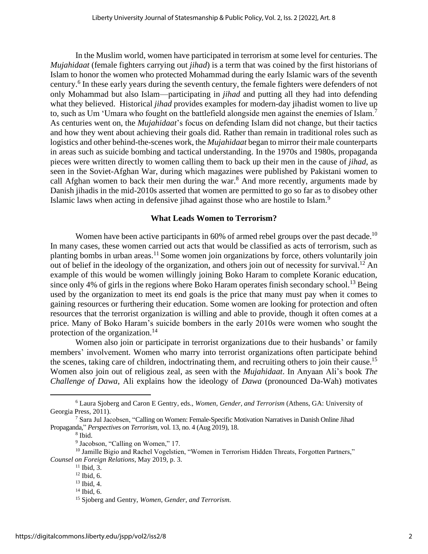In the Muslim world, women have participated in terrorism at some level for centuries. The *Mujahidaat* (female fighters carrying out *jihad*) is a term that was coined by the first historians of Islam to honor the women who protected Mohammad during the early Islamic wars of the seventh century. 6 In these early years during the seventh century, the female fighters were defenders of not only Mohammad but also Islam—participating in *jihad* and putting all they had into defending what they believed. Historical *jihad* provides examples for modern-day jihadist women to live up to, such as Um 'Umara who fought on the battlefield alongside men against the enemies of Islam.<sup>7</sup> As centuries went on, the *Mujahidaat*'s focus on defending Islam did not change, but their tactics and how they went about achieving their goals did. Rather than remain in traditional roles such as logistics and other behind-the-scenes work, the *Mujahidaat* began to mirror their male counterparts in areas such as suicide bombing and tactical understanding. In the 1970s and 1980s, propaganda pieces were written directly to women calling them to back up their men in the cause of *jihad*, as seen in the Soviet-Afghan War, during which magazines were published by Pakistani women to call Afghan women to back their men during the war.<sup>8</sup> And more recently, arguments made by Danish jihadis in the mid-2010s asserted that women are permitted to go so far as to disobey other Islamic laws when acting in defensive jihad against those who are hostile to Islam.<sup>9</sup>

# **What Leads Women to Terrorism?**

Women have been active participants in 60% of armed rebel groups over the past decade.<sup>10</sup> In many cases, these women carried out acts that would be classified as acts of terrorism, such as planting bombs in urban areas.<sup>11</sup> Some women join organizations by force, others voluntarily join out of belief in the ideology of the organization, and others join out of necessity for survival.<sup>12</sup> An example of this would be women willingly joining Boko Haram to complete Koranic education, since only 4% of girls in the regions where Boko Haram operates finish secondary school.<sup>13</sup> Being used by the organization to meet its end goals is the price that many must pay when it comes to gaining resources or furthering their education. Some women are looking for protection and often resources that the terrorist organization is willing and able to provide, though it often comes at a price. Many of Boko Haram's suicide bombers in the early 2010s were women who sought the protection of the organization.<sup>14</sup>

Women also join or participate in terrorist organizations due to their husbands' or family members' involvement. Women who marry into terrorist organizations often participate behind the scenes, taking care of children, indoctrinating them, and recruiting others to join their cause.<sup>15</sup> Women also join out of religious zeal, as seen with the *Mujahidaat*. In Anyaan Ali's book *The Challenge of Dawa*, Ali explains how the ideology of *Dawa* (pronounced Da-Wah) motivates

<sup>6</sup> Laura Sjoberg and Caron E Gentry, eds., *Women, Gender, and Terrorism* (Athens, GA: University of Georgia Press, 2011).

<sup>7</sup> Sara Jul Jacobsen, "Calling on Women: Female-Specific Motivation Narratives in Danish Online Jihad Propaganda," *Perspectives on Terrorism*, vol. 13, no. 4 (Aug 2019), 18.

<sup>8</sup> Ibid.

<sup>&</sup>lt;sup>9</sup> Jacobson, "Calling on Women," 17.

<sup>&</sup>lt;sup>10</sup> Jamille Bigio and Rachel Vogelstien, "Women in Terrorism Hidden Threats, Forgotten Partners," *Counsel on Foreign Relations*, May 2019, p. 3.

 $11$  Ibid, 3.

 $12$  Ibid, 6.

<sup>13</sup> Ibid, 4.

 $14$  Ibid, 6.

<sup>15</sup> Sjoberg and Gentry, *Women, Gender, and Terrorism.*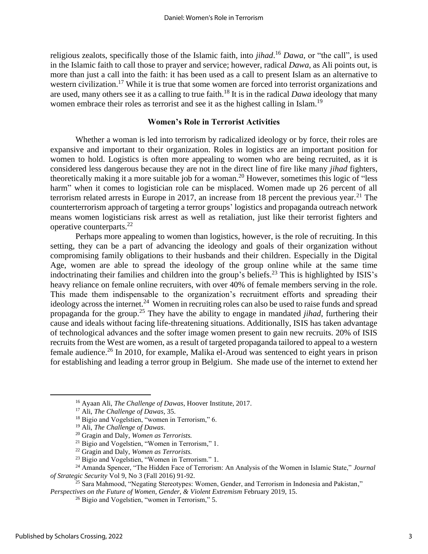religious zealots, specifically those of the Islamic faith, into *jihad*. <sup>16</sup> *Dawa*, or "the call", is used in the Islamic faith to call those to prayer and service; however, radical *Dawa*, as Ali points out, is more than just a call into the faith: it has been used as a call to present Islam as an alternative to western civilization.<sup>17</sup> While it is true that some women are forced into terrorist organizations and are used, many others see it as a calling to true faith.<sup>18</sup> It is in the radical *Dawa* ideology that many women embrace their roles as terrorist and see it as the highest calling in Islam.<sup>19</sup>

# **Women's Role in Terrorist Activities**

Whether a woman is led into terrorism by radicalized ideology or by force, their roles are expansive and important to their organization. Roles in logistics are an important position for women to hold. Logistics is often more appealing to women who are being recruited, as it is considered less dangerous because they are not in the direct line of fire like many *jihad* fighters, theoretically making it a more suitable job for a woman. <sup>20</sup> However, sometimes this logic of "less harm" when it comes to logistician role can be misplaced. Women made up 26 percent of all terrorism related arrests in Europe in 2017, an increase from 18 percent the previous year.<sup>21</sup> The counterterrorism approach of targeting a terror groups' logistics and propaganda outreach network means women logisticians risk arrest as well as retaliation, just like their terrorist fighters and operative counterparts.<sup>22</sup>

Perhaps more appealing to women than logistics, however, is the role of recruiting. In this setting, they can be a part of advancing the ideology and goals of their organization without compromising family obligations to their husbands and their children. Especially in the Digital Age, women are able to spread the ideology of the group online while at the same time indoctrinating their families and children into the group's beliefs.<sup>23</sup> This is highlighted by ISIS's heavy reliance on female online recruiters, with over 40% of female members serving in the role. This made them indispensable to the organization's recruitment efforts and spreading their ideology across the internet.<sup>24</sup> Women in recruiting roles can also be used to raise funds and spread propaganda for the group.<sup>25</sup> They have the ability to engage in mandated *jihad*, furthering their cause and ideals without facing life-threatening situations. Additionally, ISIS has taken advantage of technological advances and the softer image women present to gain new recruits. 20% of ISIS recruits from the West are women, as a result of targeted propaganda tailored to appeal to a western female audience.<sup>26</sup> In 2010, for example, Malika el-Aroud was sentenced to eight years in prison for establishing and leading a terror group in Belgium. She made use of the internet to extend her

<sup>16</sup> Ayaan Ali, *The Challenge of Dawas*, Hoover Institute, 2017.

<sup>17</sup> Ali, *The Challenge of Dawas,* 35.

<sup>&</sup>lt;sup>18</sup> Bigio and Vogelstien, "women in Terrorism," 6.

<sup>19</sup> Ali, *The Challenge of Dawas*.

<sup>20</sup> Gragin and Daly, *Women as Terrorists.*

<sup>21</sup> Bigio and Vogelstien, "Women in Terrorism," 1.

<sup>22</sup> Gragin and Daly, *Women as Terrorists.*

<sup>23</sup> Bigio and Vogelstien, "Women in Terrorism." 1.

<sup>24</sup> Amanda Spencer, "The Hidden Face of Terrorism: An Analysis of the Women in Islamic State," *Journal of Strategic Security* Vol 9, No 3 (Fall 2016) 91-92.

<sup>&</sup>lt;sup>25</sup> Sara Mahmood, "Negating Stereotypes: Women, Gender, and Terrorism in Indonesia and Pakistan," *Perspectives on the Future of Women, Gender, & Violent Extremism* February 2019, 15.

<sup>26</sup> Bigio and Vogelstien, "women in Terrorism," 5.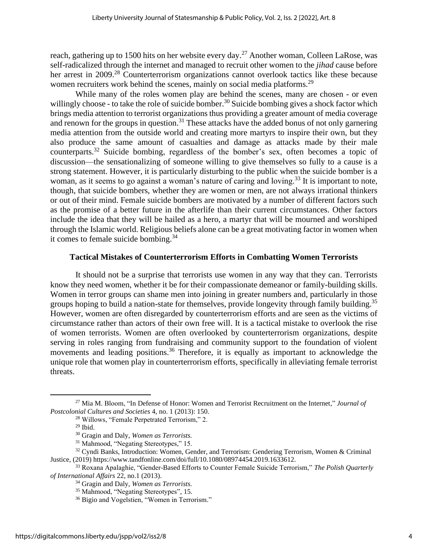reach, gathering up to 1500 hits on her website every day.<sup>27</sup> Another woman, Colleen LaRose, was self-radicalized through the internet and managed to recruit other women to the *jihad* cause before her arrest in 2009.<sup>28</sup> Counterterrorism organizations cannot overlook tactics like these because women recruiters work behind the scenes, mainly on social media platforms.<sup>29</sup>

While many of the roles women play are behind the scenes, many are chosen - or even willingly choose - to take the role of suicide bomber.<sup>30</sup> Suicide bombing gives a shock factor which brings media attention to terrorist organizations thus providing a greater amount of media coverage and renown for the groups in question.<sup>31</sup> These attacks have the added bonus of not only garnering media attention from the outside world and creating more martyrs to inspire their own, but they also produce the same amount of casualties and damage as attacks made by their male counterparts.<sup>32</sup> Suicide bombing, regardless of the bomber's sex, often becomes a topic of discussion—the sensationalizing of someone willing to give themselves so fully to a cause is a strong statement. However, it is particularly disturbing to the public when the suicide bomber is a woman, as it seems to go against a woman's nature of caring and loving.<sup>33</sup> It is important to note, though, that suicide bombers, whether they are women or men, are not always irrational thinkers or out of their mind. Female suicide bombers are motivated by a number of different factors such as the promise of a better future in the afterlife than their current circumstances. Other factors include the idea that they will be hailed as a hero, a martyr that will be mourned and worshiped through the Islamic world. Religious beliefs alone can be a great motivating factor in women when it comes to female suicide bombing. 34

# **Tactical Mistakes of Counterterrorism Efforts in Combatting Women Terrorists**

It should not be a surprise that terrorists use women in any way that they can. Terrorists know they need women, whether it be for their compassionate demeanor or family-building skills. Women in terror groups can shame men into joining in greater numbers and, particularly in those groups hoping to build a nation-state for themselves, provide longevity through family building.<sup>35</sup> However, women are often disregarded by counterterrorism efforts and are seen as the victims of circumstance rather than actors of their own free will. It is a tactical mistake to overlook the rise of women terrorists. Women are often overlooked by counterterrorism organizations, despite serving in roles ranging from fundraising and community support to the foundation of violent movements and leading positions.<sup>36</sup> Therefore, it is equally as important to acknowledge the unique role that women play in counterterrorism efforts, specifically in alleviating female terrorist threats.

<sup>27</sup> Mia M. Bloom, "In Defense of Honor: Women and Terrorist Recruitment on the Internet," *Journal of Postcolonial Cultures and Societies* 4, no. 1 (2013): 150.

<sup>28</sup> Willows, "Female Perpetrated Terrorism," 2.

 $29$  Ibid.

<sup>30</sup> Gragin and Daly, *Women as Terrorists.*

<sup>31</sup> Mahmood, "Negating Stereotypes," 15.

 $32$  Cyndi Banks, Introduction: Women, Gender, and Terrorism: Gendering Terrorism, Women & Criminal Justice, (2019) https://www.tandfonline.com/doi/full/10.1080/08974454.2019.1633612.

<sup>33</sup> Roxana Apalaghie, "Gender-Based Efforts to Counter Female Suicide Terrorism," *The Polish Quarterly of International Affairs* 22, no.1 (2013).

<sup>34</sup> Gragin and Daly, *Women as Terrorists.*

<sup>35</sup> Mahmood, "Negating Stereotypes", 15.

<sup>36</sup> Bigio and Vogelstien, "Women in Terrorism."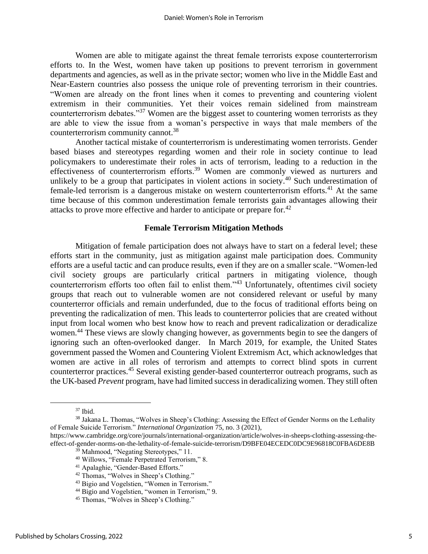Women are able to mitigate against the threat female terrorists expose counterterrorism efforts to. In the West, women have taken up positions to prevent terrorism in government departments and agencies, as well as in the private sector; women who live in the Middle East and Near-Eastern countries also possess the unique role of preventing terrorism in their countries. "Women are already on the front lines when it comes to preventing and countering violent extremism in their communities. Yet their voices remain sidelined from mainstream counterterrorism debates."<sup>37</sup> Women are the biggest asset to countering women terrorists as they are able to view the issue from a woman's perspective in ways that male members of the counterterrorism community cannot.<sup>38</sup>

Another tactical mistake of counterterrorism is underestimating women terrorists. Gender based biases and stereotypes regarding women and their role in society continue to lead policymakers to underestimate their roles in acts of terrorism, leading to a reduction in the effectiveness of counterterrorism efforts.<sup>39</sup> Women are commonly viewed as nurturers and unlikely to be a group that participates in violent actions in society.<sup>40</sup> Such underestimation of female-led terrorism is a dangerous mistake on western counterterrorism efforts.<sup>41</sup> At the same time because of this common underestimation female terrorists gain advantages allowing their attacks to prove more effective and harder to anticipate or prepare for.<sup>42</sup>

#### **Female Terrorism Mitigation Methods**

Mitigation of female participation does not always have to start on a federal level; these efforts start in the community, just as mitigation against male participation does. Community efforts are a useful tactic and can produce results, even if they are on a smaller scale. "Women-led civil society groups are particularly critical partners in mitigating violence, though counterterrorism efforts too often fail to enlist them."<sup>43</sup> Unfortunately, oftentimes civil society groups that reach out to vulnerable women are not considered relevant or useful by many counterterror officials and remain underfunded, due to the focus of traditional efforts being on preventing the radicalization of men. This leads to counterterror policies that are created without input from local women who best know how to reach and prevent radicalization or deradicalize women.<sup>44</sup> These views are slowly changing however, as governments begin to see the dangers of ignoring such an often-overlooked danger. In March 2019, for example, the United States government passed the Women and Countering Violent Extremism Act, which acknowledges that women are active in all roles of terrorism and attempts to correct blind spots in current counterterror practices.<sup>45</sup> Several existing gender-based counterterror outreach programs, such as the UK-based *Prevent* program, have had limited success in deradicalizing women. They still often

<sup>37</sup> Ibid.

<sup>&</sup>lt;sup>38</sup> Jakana L. Thomas, "Wolves in Sheep's Clothing: Assessing the Effect of Gender Norms on the Lethality of Female Suicide Terrorism." *International Organization* 75, no. 3 (2021),

https://www.cambridge.org/core/journals/international-organization/article/wolves-in-sheeps-clothing-assessing-theeffect-of-gender-norms-on-the-lethality-of-female-suicide-terrorism/D9BFE04ECEDC0DC9E96818C0FBA6DE8B

<sup>39</sup> Mahmood, "Negating Stereotypes," 11.

<sup>40</sup> Willows, "Female Perpetrated Terrorism," 8.

<sup>41</sup> Apalaghie, "Gender-Based Efforts."

<sup>42</sup> Thomas, "Wolves in Sheep's Clothing."

<sup>&</sup>lt;sup>43</sup> Bigio and Vogelstien, "Women in Terrorism."

<sup>&</sup>lt;sup>44</sup> Bigio and Vogelstien, "women in Terrorism," 9.

<sup>45</sup> Thomas, "Wolves in Sheep's Clothing."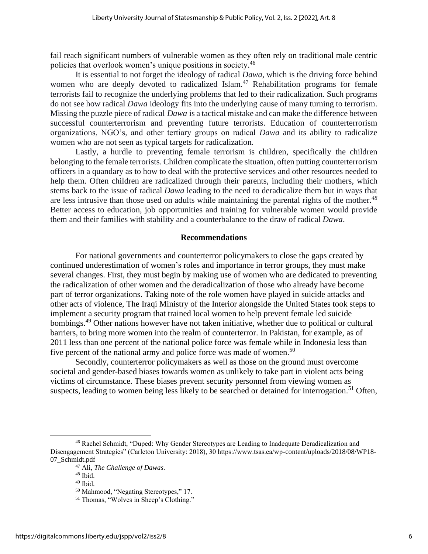fail reach significant numbers of vulnerable women as they often rely on traditional male centric policies that overlook women's unique positions in society.<sup>46</sup>

It is essential to not forget the ideology of radical *Dawa,* which is the driving force behind women who are deeply devoted to radicalized Islam.<sup>47</sup> Rehabilitation programs for female terrorists fail to recognize the underlying problems that led to their radicalization. Such programs do not see how radical *Dawa* ideology fits into the underlying cause of many turning to terrorism. Missing the puzzle piece of radical *Dawa* is a tactical mistake and can make the difference between successful counterterrorism and preventing future terrorists. Education of counterterrorism organizations, NGO's, and other tertiary groups on radical *Dawa* and its ability to radicalize women who are not seen as typical targets for radicalization.

Lastly, a hurdle to preventing female terrorism is children, specifically the children belonging to the female terrorists. Children complicate the situation, often putting counterterrorism officers in a quandary as to how to deal with the protective services and other resources needed to help them. Often children are radicalized through their parents, including their mothers, which stems back to the issue of radical *Dawa* leading to the need to deradicalize them but in ways that are less intrusive than those used on adults while maintaining the parental rights of the mother*. 48* Better access to education, job opportunities and training for vulnerable women would provide them and their families with stability and a counterbalance to the draw of radical *Dawa*.

#### **Recommendations**

For national governments and counterterror policymakers to close the gaps created by continued underestimation of women's roles and importance in terror groups, they must make several changes. First, they must begin by making use of women who are dedicated to preventing the radicalization of other women and the deradicalization of those who already have become part of terror organizations. Taking note of the role women have played in suicide attacks and other acts of violence, The Iraqi Ministry of the Interior alongside the United States took steps to implement a security program that trained local women to help prevent female led suicide bombings.<sup>49</sup> Other nations however have not taken initiative, whether due to political or cultural barriers, to bring more women into the realm of counterterror. In Pakistan, for example, as of 2011 less than one percent of the national police force was female while in Indonesia less than five percent of the national army and police force was made of women.<sup>50</sup>

Secondly, counterterror policymakers as well as those on the ground must overcome societal and gender-based biases towards women as unlikely to take part in violent acts being victims of circumstance. These biases prevent security personnel from viewing women as suspects, leading to women being less likely to be searched or detained for interrogation.<sup>51</sup> Often,

<sup>46</sup> Rachel Schmidt, "Duped: Why Gender Stereotypes are Leading to Inadequate Deradicalization and Disengagement Strategies" (Carleton University: 2018), 30 https://www.tsas.ca/wp-content/uploads/2018/08/WP18- 07\_Schmidt.pdf

<sup>47</sup> Ali, *The Challenge of Dawas.*

<sup>48</sup> Ibid.

 $49$  Ibid.

<sup>50</sup> Mahmood, "Negating Stereotypes," 17.

<sup>51</sup> Thomas, "Wolves in Sheep's Clothing."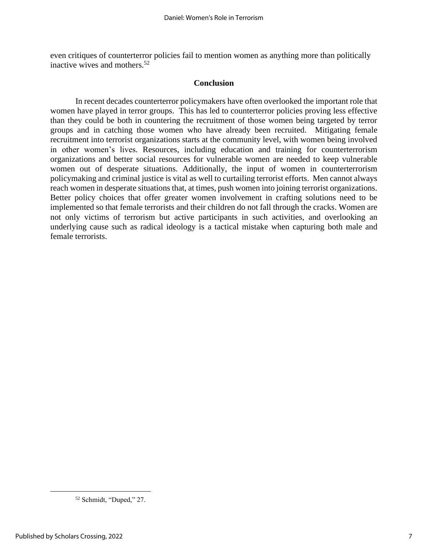even critiques of counterterror policies fail to mention women as anything more than politically inactive wives and mothers.<sup>52</sup>

### **Conclusion**

In recent decades counterterror policymakers have often overlooked the important role that women have played in terror groups. This has led to counterterror policies proving less effective than they could be both in countering the recruitment of those women being targeted by terror groups and in catching those women who have already been recruited. Mitigating female recruitment into terrorist organizations starts at the community level, with women being involved in other women's lives. Resources, including education and training for counterterrorism organizations and better social resources for vulnerable women are needed to keep vulnerable women out of desperate situations. Additionally, the input of women in counterterrorism policymaking and criminal justice is vital as well to curtailing terrorist efforts. Men cannot always reach women in desperate situations that, at times, push women into joining terrorist organizations. Better policy choices that offer greater women involvement in crafting solutions need to be implemented so that female terrorists and their children do not fall through the cracks. Women are not only victims of terrorism but active participants in such activities, and overlooking an underlying cause such as radical ideology is a tactical mistake when capturing both male and female terrorists.

<sup>52</sup> Schmidt, "Duped," 27.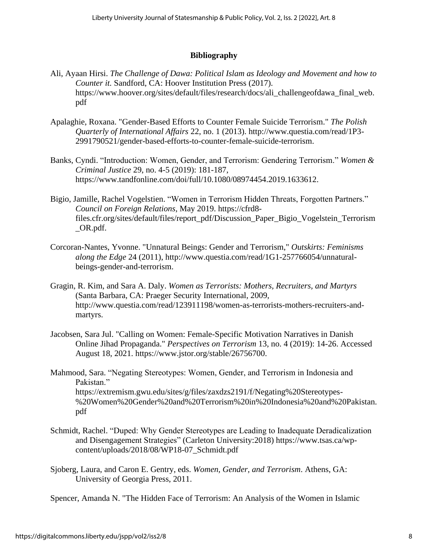# **Bibliography**

- Ali, Ayaan Hirsi. *The Challenge of Dawa: Political Islam as Ideology and Movement and how to Counter it.* Sandford, CA: Hoover Institution Press (2017). https://www.hoover.org/sites/default/files/research/docs/ali\_challengeofdawa\_final\_web. pdf
- Apalaghie, Roxana. "Gender-Based Efforts to Counter Female Suicide Terrorism." *The Polish Quarterly of International Affairs* 22, no. 1 (2013). http://www.questia.com/read/1P3- 2991790521/gender-based-efforts-to-counter-female-suicide-terrorism.
- Banks, Cyndi. "Introduction: Women, Gender, and Terrorism: Gendering Terrorism." *Women & Criminal Justice* 29, no. 4-5 (2019): 181-187, https://www.tandfonline.com/doi/full/10.1080/08974454.2019.1633612.
- Bigio, Jamille, Rachel Vogelstien. "Women in Terrorism Hidden Threats, Forgotten Partners." *Council on Foreign Relations*, May 2019. https://cfrd8 files.cfr.org/sites/default/files/report\_pdf/Discussion\_Paper\_Bigio\_Vogelstein\_Terrorism \_OR.pdf.
- Corcoran-Nantes, Yvonne. "Unnatural Beings: Gender and Terrorism," *Outskirts: Feminisms along the Edge* 24 (2011), http://www.questia.com/read/1G1-257766054/unnaturalbeings-gender-and-terrorism.
- Gragin, R. Kim, and Sara A. Daly. *Women as Terrorists: Mothers, Recruiters, and Martyrs* (Santa Barbara, CA: Praeger Security International, 2009, http://www.questia.com/read/123911198/women-as-terrorists-mothers-recruiters-andmartyrs.
- Jacobsen, Sara Jul. "Calling on Women: Female-Specific Motivation Narratives in Danish Online Jihad Propaganda." *Perspectives on Terrorism* 13, no. 4 (2019): 14-26. Accessed August 18, 2021. https://www.jstor.org/stable/26756700.
- Mahmood, Sara. "Negating Stereotypes: Women, Gender, and Terrorism in Indonesia and Pakistan." https://extremism.gwu.edu/sites/g/files/zaxdzs2191/f/Negating%20Stereotypes- %20Women%20Gender%20and%20Terrorism%20in%20Indonesia%20and%20Pakistan. pdf
- Schmidt, Rachel. "Duped: Why Gender Stereotypes are Leading to Inadequate Deradicalization and Disengagement Strategies" (Carleton University:2018) https://www.tsas.ca/wpcontent/uploads/2018/08/WP18-07\_Schmidt.pdf
- Sjoberg, Laura, and Caron E. Gentry, eds. *Women, Gender, and Terrorism*. Athens, GA: University of Georgia Press, 2011.

Spencer, Amanda N. "The Hidden Face of Terrorism: An Analysis of the Women in Islamic